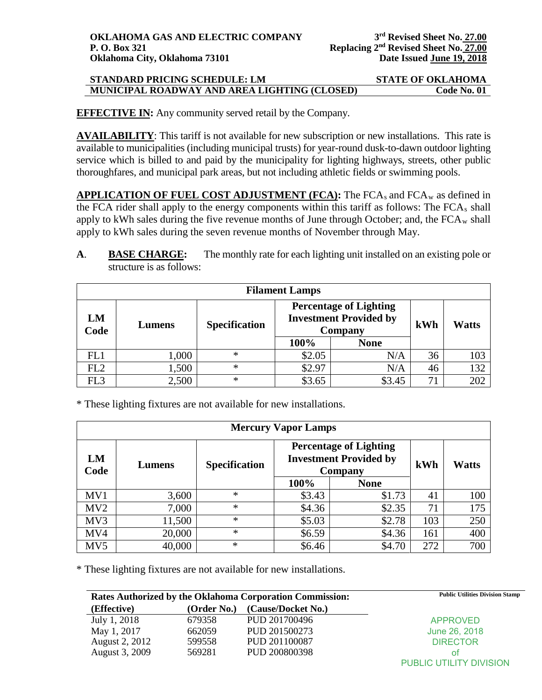**EFFECTIVE IN:** Any community served retail by the Company.

**AVAILABILITY**: This tariff is not available for new subscription or new installations. This rate is available to municipalities (including municipal trusts) for year-round dusk-to-dawn outdoor lighting service which is billed to and paid by the municipality for lighting highways, streets, other public thoroughfares, and municipal park areas, but not including athletic fields or swimming pools.

**APPLICATION OF FUEL COST ADJUSTMENT (FCA): The FCA<sub>s</sub> and FCA<sub>w</sub> as defined in** the FCA rider shall apply to the energy components within this tariff as follows: The  $FCA<sub>s</sub>$  shall apply to kWh sales during the five revenue months of June through October; and, the  $FCA_w$  shall apply to kWh sales during the seven revenue months of November through May.

**A**. **BASE CHARGE:** The monthly rate for each lighting unit installed on an existing pole or structure is as follows:

| <b>Filament Lamps</b> |        |                      |                                                                           |             |     |              |
|-----------------------|--------|----------------------|---------------------------------------------------------------------------|-------------|-----|--------------|
| LM<br>Code            | Lumens | <b>Specification</b> | <b>Percentage of Lighting</b><br><b>Investment Provided by</b><br>Company |             | kWh | <b>Watts</b> |
|                       |        |                      | 100%                                                                      | <b>None</b> |     |              |
| FL1                   | 1,000  | $\ast$               | \$2.05                                                                    | N/A         | 36  | 103          |
| FL2                   | 1,500  | $\ast$               | \$2.97                                                                    | N/A         | 46  | 132          |
| FL <sub>3</sub>       | 2,500  | $\ast$               | \$3.65                                                                    | \$3.45      | 71  | 202          |

\* These lighting fixtures are not available for new installations.

| <b>Mercury Vapor Lamps</b> |        |                      |                                                                           |             |     |              |
|----------------------------|--------|----------------------|---------------------------------------------------------------------------|-------------|-----|--------------|
| LM<br>Code                 | Lumens | <b>Specification</b> | <b>Percentage of Lighting</b><br><b>Investment Provided by</b><br>Company |             | kWh | <b>Watts</b> |
|                            |        |                      | 100%                                                                      | <b>None</b> |     |              |
| MV1                        | 3,600  | $\ast$               | \$3.43                                                                    | \$1.73      | 41  | 100          |
| MV <sub>2</sub>            | 7,000  | $\ast$               | \$4.36                                                                    | \$2.35      | 71  | 175          |
| MV3                        | 11,500 | $\ast$               | \$5.03                                                                    | \$2.78      | 103 | 250          |
| MV4                        | 20,000 | $\ast$               | \$6.59                                                                    | \$4.36      | 161 | 400          |
| MV <sub>5</sub>            | 40,000 | $\ast$               | \$6.46                                                                    | \$4.70      | 272 | 700          |

\* These lighting fixtures are not available for new installations.

| <b>Rates Authorized by the Oklahoma Corporation Commission:</b> |             |                    | <b>Public Utilities Division Stamp</b> |
|-----------------------------------------------------------------|-------------|--------------------|----------------------------------------|
| (Effective)                                                     | (Order No.) | (Cause/Docket No.) |                                        |
| July 1, 2018                                                    | 679358      | PUD 201700496      | <b>APPROVED</b>                        |
| May 1, 2017                                                     | 662059      | PUD 201500273      | June 26, 2018                          |
| August 2, 2012                                                  | 599558      | PUD 201100087      | <b>DIRECTOR</b>                        |
| August 3, 2009                                                  | 569281      | PUD 200800398      | Ωt                                     |
|                                                                 |             |                    | PUBLIC UTILITY DIVISION                |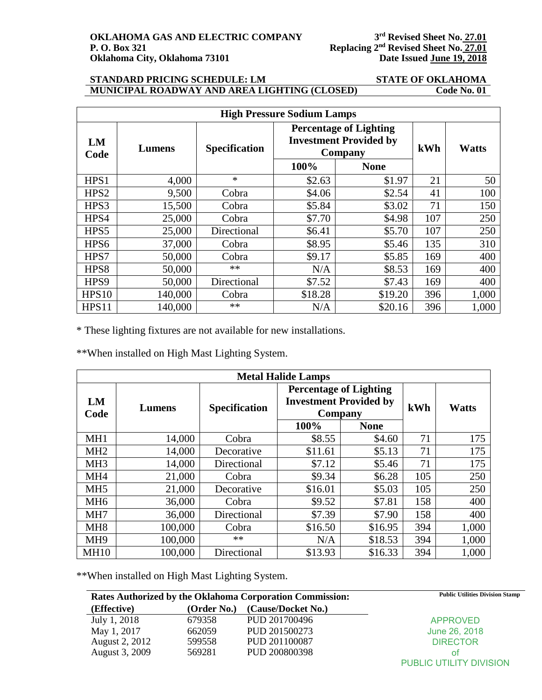**P. O. 27.01**<br>Replacing 2<sup>nd</sup> Revised Sheet No. 27.01<br>Date Issued June 19, 2018

### **STANDARD PRICING SCHEDULE: LM STATE OF OKLAHOMA MUNICIPAL ROADWAY AND AREA LIGHTING (CLOSED)**

| <b>High Pressure Sodium Lamps</b> |         |                      |                                                                           |             |     |              |
|-----------------------------------|---------|----------------------|---------------------------------------------------------------------------|-------------|-----|--------------|
| LM<br>Code                        | Lumens  | <b>Specification</b> | <b>Percentage of Lighting</b><br><b>Investment Provided by</b><br>Company |             | kWh | <b>Watts</b> |
|                                   |         |                      | 100%                                                                      | <b>None</b> |     |              |
| HPS1                              | 4,000   | $\ast$               | \$2.63                                                                    | \$1.97      | 21  | 50           |
| HPS <sub>2</sub>                  | 9,500   | Cobra                | \$4.06                                                                    | \$2.54      | 41  | 100          |
| HPS3                              | 15,500  | Cobra                | \$5.84                                                                    | \$3.02      | 71  | 150          |
| HPS4                              | 25,000  | Cobra                | \$7.70                                                                    | \$4.98      | 107 | 250          |
| HPS5                              | 25,000  | Directional          | \$6.41                                                                    | \$5.70      | 107 | 250          |
| HPS <sub>6</sub>                  | 37,000  | Cobra                | \$8.95                                                                    | \$5.46      | 135 | 310          |
| HPS7                              | 50,000  | Cobra                | \$9.17                                                                    | \$5.85      | 169 | 400          |
| HPS8                              | 50,000  | $**$                 | N/A                                                                       | \$8.53      | 169 | 400          |
| HPS9                              | 50,000  | Directional          | \$7.52                                                                    | \$7.43      | 169 | 400          |
| <b>HPS10</b>                      | 140,000 | Cobra                | \$18.28                                                                   | \$19.20     | 396 | 1,000        |
| HPS11                             | 140,000 | **                   | N/A                                                                       | \$20.16     | 396 | 1,000        |

\* These lighting fixtures are not available for new installations.

\*\*When installed on High Mast Lighting System.

| <b>Metal Halide Lamps</b> |         |                      |                                                                           |             |     |              |
|---------------------------|---------|----------------------|---------------------------------------------------------------------------|-------------|-----|--------------|
| LM<br>Code                | Lumens  | <b>Specification</b> | <b>Percentage of Lighting</b><br><b>Investment Provided by</b><br>Company |             | kWh | <b>Watts</b> |
|                           |         |                      | 100%                                                                      | <b>None</b> |     |              |
| MH <sub>1</sub>           | 14,000  | Cobra                | \$8.55                                                                    | \$4.60      | 71  | 175          |
| MH <sub>2</sub>           | 14,000  | Decorative           | \$11.61                                                                   | \$5.13      | 71  | 175          |
| MH <sub>3</sub>           | 14,000  | Directional          | \$7.12                                                                    | \$5.46      | 71  | 175          |
| MH <sub>4</sub>           | 21,000  | Cobra                | \$9.34                                                                    | \$6.28      | 105 | 250          |
| MH <sub>5</sub>           | 21,000  | Decorative           | \$16.01                                                                   | \$5.03      | 105 | 250          |
| MH <sub>6</sub>           | 36,000  | Cobra                | \$9.52                                                                    | \$7.81      | 158 | 400          |
| MH7                       | 36,000  | Directional          | \$7.39                                                                    | \$7.90      | 158 | 400          |
| MH <sub>8</sub>           | 100,000 | Cobra                | \$16.50                                                                   | \$16.95     | 394 | 1,000        |
| MH <sub>9</sub>           | 100,000 | $**$                 | N/A                                                                       | \$18.53     | 394 | 1,000        |
| <b>MH10</b>               | 100,000 | Directional          | \$13.93                                                                   | \$16.33     | 394 | 1,000        |

\*\*When installed on High Mast Lighting System.

|                |             | Rates Authorized by the Oklahoma Corporation Commission: | <b>Public Utilities Division Stamp</b> |
|----------------|-------------|----------------------------------------------------------|----------------------------------------|
| (Effective)    | (Order No.) | (Cause/Docket No.)                                       |                                        |
| July 1, 2018   | 679358      | PUD 201700496                                            | <b>APPROVED</b>                        |
| May 1, 2017    | 662059      | PUD 201500273                                            | June 26, 2018                          |
| August 2, 2012 | 599558      | PUD 201100087                                            | <b>DIRECTOR</b>                        |
| August 3, 2009 | 569281      | PUD 200800398                                            | Ωt                                     |
|                |             |                                                          | PUBLIC UTILITY DIVISION                |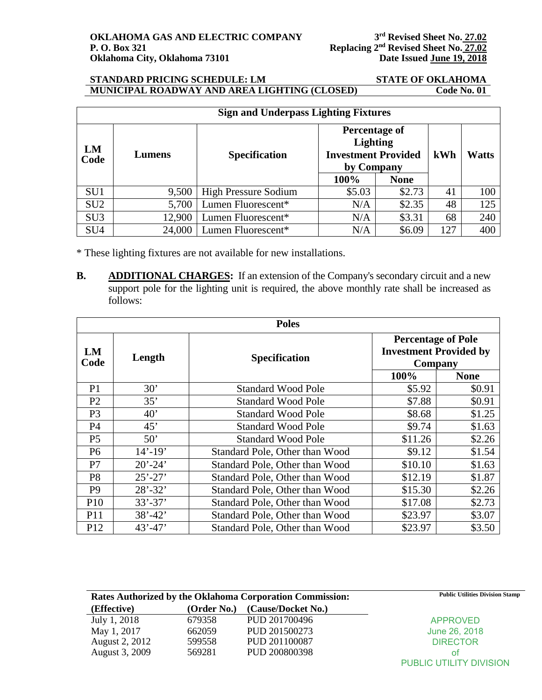| <b>Sign and Underpass Lighting Fixtures</b> |        |                      |                                                                              |             |     |              |
|---------------------------------------------|--------|----------------------|------------------------------------------------------------------------------|-------------|-----|--------------|
| LM<br>Code                                  | Lumens | <b>Specification</b> | Percentage of<br><b>Lighting</b><br><b>Investment Provided</b><br>by Company |             | kWh | <b>Watts</b> |
|                                             |        |                      | 100%                                                                         | <b>None</b> |     |              |
| SU <sub>1</sub>                             | 9,500  | High Pressure Sodium | \$5.03                                                                       | \$2.73      | 41  | 100          |
| SU <sub>2</sub>                             | 5,700  | Lumen Fluorescent*   | N/A                                                                          | \$2.35      | 48  | 125          |
| SU <sub>3</sub>                             | 12,900 | Lumen Fluorescent*   | N/A                                                                          | \$3.31      | 68  | 240          |
| SU <sub>4</sub>                             | 24,000 | Lumen Fluorescent*   | N/A                                                                          | \$6.09      | 127 | 400          |

\* These lighting fixtures are not available for new installations.

**B. ADDITIONAL CHARGES:** If an extension of the Company's secondary circuit and a new support pole for the lighting unit is required, the above monthly rate shall be increased as follows:

| <b>Poles</b>         |             |                                |                                                                       |             |  |
|----------------------|-------------|--------------------------------|-----------------------------------------------------------------------|-------------|--|
| LM<br>Length<br>Code |             | <b>Specification</b>           | <b>Percentage of Pole</b><br><b>Investment Provided by</b><br>Company |             |  |
|                      |             |                                | 100%                                                                  | <b>None</b> |  |
| P <sub>1</sub>       | 30'         | <b>Standard Wood Pole</b>      | \$5.92                                                                | \$0.91      |  |
| P <sub>2</sub>       | 35'         | <b>Standard Wood Pole</b>      | \$7.88                                                                | \$0.91      |  |
| P <sub>3</sub>       | 40'         | <b>Standard Wood Pole</b>      | \$8.68                                                                | \$1.25      |  |
| P4                   | 45'         | <b>Standard Wood Pole</b>      | \$9.74                                                                | \$1.63      |  |
| P <sub>5</sub>       | 50'         | <b>Standard Wood Pole</b>      | \$11.26                                                               | \$2.26      |  |
| P <sub>6</sub>       | $14' - 19'$ | Standard Pole, Other than Wood | \$9.12                                                                | \$1.54      |  |
| P7                   | $20' - 24'$ | Standard Pole, Other than Wood | \$10.10                                                               | \$1.63      |  |
| P <sub>8</sub>       | $25' - 27'$ | Standard Pole, Other than Wood | \$12.19                                                               | \$1.87      |  |
| P <sub>9</sub>       | $28' - 32'$ | Standard Pole, Other than Wood | \$15.30                                                               | \$2.26      |  |
| P <sub>10</sub>      | $33' - 37'$ | Standard Pole, Other than Wood | \$17.08                                                               | \$2.73      |  |
| P11                  | $38' - 42'$ | Standard Pole, Other than Wood | \$23.97                                                               | \$3.07      |  |
| P <sub>12</sub>      | $43' - 47'$ | Standard Pole, Other than Wood | \$23.97                                                               | \$3.50      |  |

|                |             | Rates Authorized by the Oklahoma Corporation Commission: | <b>Public Utilities Division Stamp</b> |
|----------------|-------------|----------------------------------------------------------|----------------------------------------|
| (Effective)    | (Order No.) | (Cause/Docket No.)                                       |                                        |
| July 1, 2018   | 679358      | PUD 201700496                                            | <b>APPROVED</b>                        |
| May 1, 2017    | 662059      | PUD 201500273                                            | June 26, 2018                          |
| August 2, 2012 | 599558      | PUD 201100087                                            | <b>DIRECTOR</b>                        |
| August 3, 2009 | 569281      | PUD 200800398                                            | ΩŤ                                     |
|                |             |                                                          | <b>PUBLIC UTILITY DIVISION</b>         |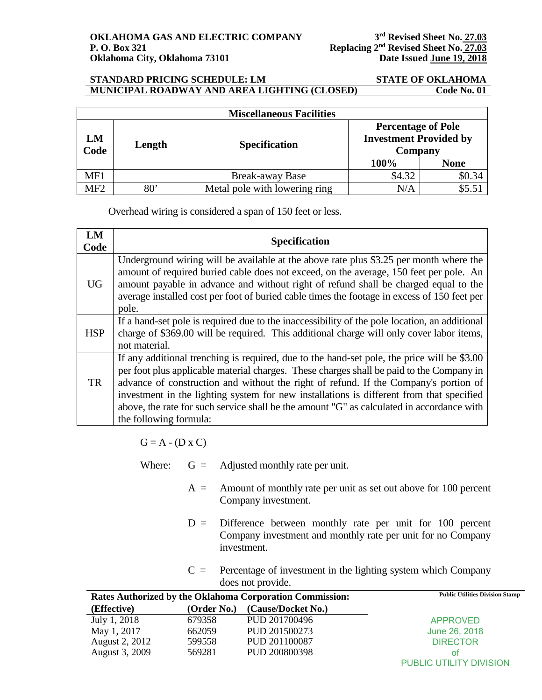| <b>Miscellaneous Facilities</b> |        |                               |                                                                       |             |  |
|---------------------------------|--------|-------------------------------|-----------------------------------------------------------------------|-------------|--|
| LM<br>Code                      | Length | <b>Specification</b>          | <b>Percentage of Pole</b><br><b>Investment Provided by</b><br>Company |             |  |
|                                 |        |                               | 100%                                                                  | <b>None</b> |  |
| MF1                             |        | <b>Break-away Base</b>        | \$4.32                                                                | \$0.34      |  |
| MF <sub>2</sub>                 | 80'    | Metal pole with lowering ring | N/A                                                                   |             |  |

Overhead wiring is considered a span of 150 feet or less.

| LM<br>Code | <b>Specification</b>                                                                                                                                                                                                                                                                                                                                                                                                                                                                               |
|------------|----------------------------------------------------------------------------------------------------------------------------------------------------------------------------------------------------------------------------------------------------------------------------------------------------------------------------------------------------------------------------------------------------------------------------------------------------------------------------------------------------|
| <b>UG</b>  | Underground wiring will be available at the above rate plus \$3.25 per month where the<br>amount of required buried cable does not exceed, on the average, 150 feet per pole. An<br>amount payable in advance and without right of refund shall be charged equal to the<br>average installed cost per foot of buried cable times the footage in excess of 150 feet per<br>pole.                                                                                                                    |
| <b>HSP</b> | If a hand-set pole is required due to the inaccessibility of the pole location, an additional<br>charge of \$369.00 will be required. This additional charge will only cover labor items,<br>not material.                                                                                                                                                                                                                                                                                         |
| <b>TR</b>  | If any additional trenching is required, due to the hand-set pole, the price will be \$3.00<br>per foot plus applicable material charges. These charges shall be paid to the Company in<br>advance of construction and without the right of refund. If the Company's portion of<br>investment in the lighting system for new installations is different from that specified<br>above, the rate for such service shall be the amount "G" as calculated in accordance with<br>the following formula: |
|            |                                                                                                                                                                                                                                                                                                                                                                                                                                                                                                    |

 $G = A - (D \times C)$ 

- Where:  $G =$  Adjusted monthly rate per unit.
	- $A =$  Amount of monthly rate per unit as set out above for 100 percent Company investment.
	- $D =$  Difference between monthly rate per unit for 100 percent Company investment and monthly rate per unit for no Company investment.
	- $C =$  Percentage of investment in the lighting system which Company does not provide.

|                |             | Rates Authorized by the Oklahoma Corporation Commission: | <b>Public Utilities Division Stamp</b> |
|----------------|-------------|----------------------------------------------------------|----------------------------------------|
| (Effective)    | (Order No.) | (Cause/Docket No.)                                       |                                        |
| July 1, 2018   | 679358      | PUD 201700496                                            | <b>APPROVED</b>                        |
| May 1, 2017    | 662059      | PUD 201500273                                            | June 26, 2018                          |
| August 2, 2012 | 599558      | PUD 201100087                                            | <b>DIRECTOR</b>                        |
| August 3, 2009 | 569281      | PUD 200800398                                            | οt                                     |
|                |             |                                                          | PUBLIC UTILITY DIVISION                |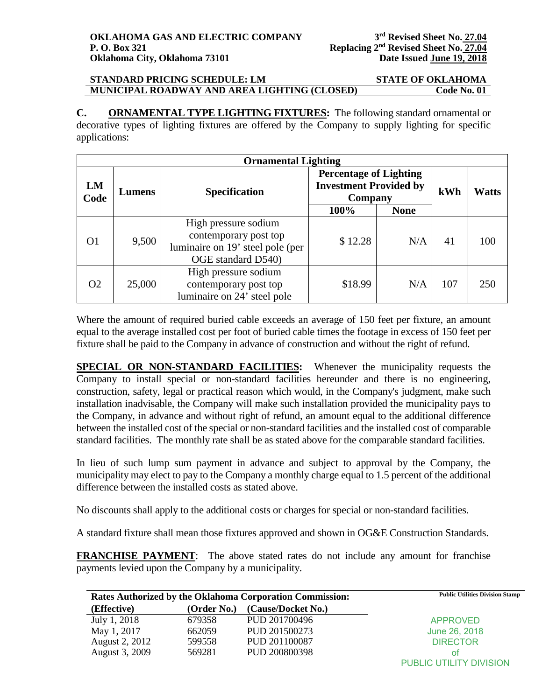**C. ORNAMENTAL TYPE LIGHTING FIXTURES:** The following standard ornamental or decorative types of lighting fixtures are offered by the Company to supply lighting for specific applications:

| <b>Ornamental Lighting</b> |        |                                                                                                         |                                                                           |             |     |              |
|----------------------------|--------|---------------------------------------------------------------------------------------------------------|---------------------------------------------------------------------------|-------------|-----|--------------|
| LM<br>Code                 | Lumens | <b>Specification</b>                                                                                    | <b>Percentage of Lighting</b><br><b>Investment Provided by</b><br>Company |             | kWh | <b>Watts</b> |
|                            |        |                                                                                                         | 100%                                                                      | <b>None</b> |     |              |
| O <sub>1</sub>             | 9,500  | High pressure sodium<br>contemporary post top<br>luminaire on 19' steel pole (per<br>OGE standard D540) | \$12.28                                                                   | N/A         | 41  | 100          |
| O <sub>2</sub>             | 25,000 | High pressure sodium<br>contemporary post top<br>luminaire on 24' steel pole                            | \$18.99                                                                   | N/A         | 107 | 250          |

Where the amount of required buried cable exceeds an average of 150 feet per fixture, an amount equal to the average installed cost per foot of buried cable times the footage in excess of 150 feet per fixture shall be paid to the Company in advance of construction and without the right of refund.

**SPECIAL OR NON-STANDARD FACILITIES:** Whenever the municipality requests the Company to install special or non-standard facilities hereunder and there is no engineering, construction, safety, legal or practical reason which would, in the Company's judgment, make such installation inadvisable, the Company will make such installation provided the municipality pays to the Company, in advance and without right of refund, an amount equal to the additional difference between the installed cost of the special or non-standard facilities and the installed cost of comparable standard facilities. The monthly rate shall be as stated above for the comparable standard facilities.

In lieu of such lump sum payment in advance and subject to approval by the Company, the municipality may elect to pay to the Company a monthly charge equal to 1.5 percent of the additional difference between the installed costs as stated above.

No discounts shall apply to the additional costs or charges for special or non-standard facilities.

A standard fixture shall mean those fixtures approved and shown in OG&E Construction Standards.

**FRANCHISE PAYMENT**: The above stated rates do not include any amount for franchise payments levied upon the Company by a municipality.

| <b>Rates Authorized by the Oklahoma Corporation Commission:</b> |             | <b>Public Utilities Division Stamp</b> |                         |
|-----------------------------------------------------------------|-------------|----------------------------------------|-------------------------|
| (Effective)                                                     | (Order No.) | (Cause/Docket No.)                     |                         |
| July 1, 2018                                                    | 679358      | PUD 201700496                          | <b>APPROVED</b>         |
| May 1, 2017                                                     | 662059      | PUD 201500273                          | June 26, 2018           |
| August 2, 2012                                                  | 599558      | PUD 201100087                          | <b>DIRECTOR</b>         |
| August 3, 2009                                                  | 569281      | PUD 200800398                          | Ωt                      |
|                                                                 |             |                                        | PUBLIC UTILITY DIVISION |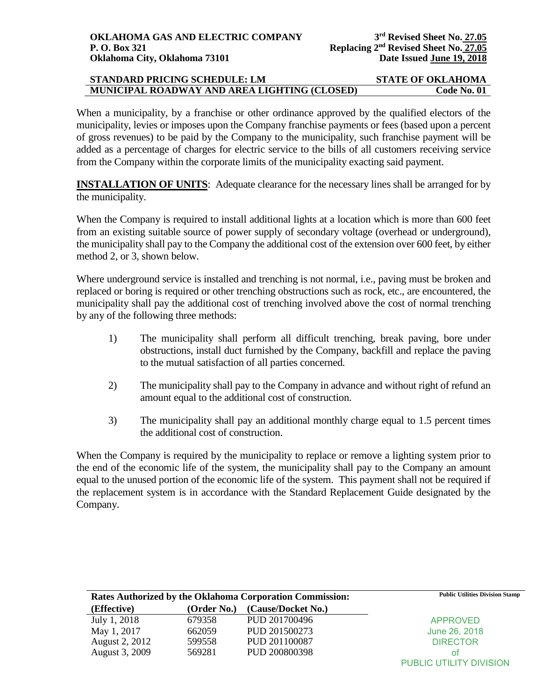When a municipality, by a franchise or other ordinance approved by the qualified electors of the municipality, levies or imposes upon the Company franchise payments or fees (based upon a percent of gross revenues) to be paid by the Company to the municipality, such franchise payment will be added as a percentage of charges for electric service to the bills of all customers receiving service from the Company within the corporate limits of the municipality exacting said payment.

**INSTALLATION OF UNITS:** Adequate clearance for the necessary lines shall be arranged for by the municipality.

When the Company is required to install additional lights at a location which is more than 600 feet from an existing suitable source of power supply of secondary voltage (overhead or underground), the municipality shall pay to the Company the additional cost of the extension over 600 feet, by either method 2, or 3, shown below.

Where underground service is installed and trenching is not normal, i.e., paving must be broken and replaced or boring is required or other trenching obstructions such as rock, etc., are encountered, the municipality shall pay the additional cost of trenching involved above the cost of normal trenching by any of the following three methods:

- 1) The municipality shall perform all difficult trenching, break paving, bore under obstructions, install duct furnished by the Company, backfill and replace the paving to the mutual satisfaction of all parties concerned.
- 2) The municipality shall pay to the Company in advance and without right of refund an amount equal to the additional cost of construction.
- 3) The municipality shall pay an additional monthly charge equal to 1.5 percent times the additional cost of construction.

When the Company is required by the municipality to replace or remove a lighting system prior to the end of the economic life of the system, the municipality shall pay to the Company an amount equal to the unused portion of the economic life of the system. This payment shall not be required if the replacement system is in accordance with the Standard Replacement Guide designated by the Company.

| Rates Authorized by the Oklahoma Corporation Commission: |             | <b>Public Utilities Division Stamp</b> |                         |
|----------------------------------------------------------|-------------|----------------------------------------|-------------------------|
| (Effective)                                              | (Order No.) | (Cause/Docket No.)                     |                         |
| July 1, 2018                                             | 679358      | PUD 201700496                          | <b>APPROVED</b>         |
| May 1, 2017                                              | 662059      | PUD 201500273                          | June 26, 2018           |
| <b>August 2, 2012</b>                                    | 599558      | PUD 201100087                          | <b>DIRECTOR</b>         |
| August 3, 2009                                           | 569281      | PUD 200800398                          | ΩŤ                      |
|                                                          |             |                                        | PUBLIC UTILITY DIVISION |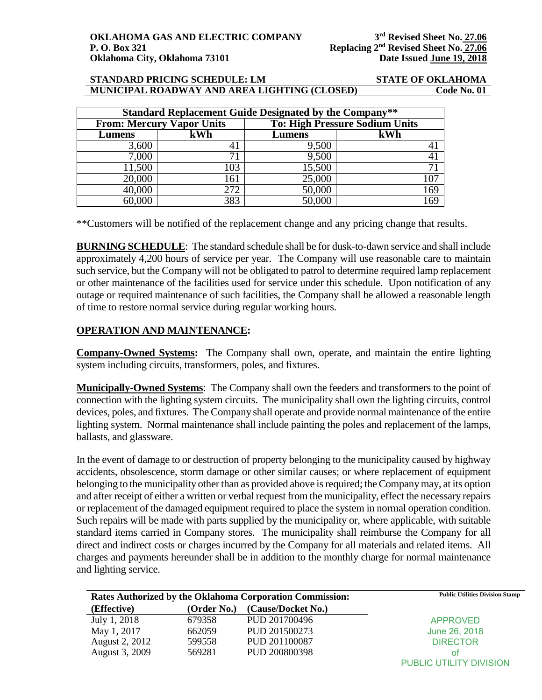| <b>Standard Replacement Guide Designated by the Company**</b> |                                  |                                       |     |  |
|---------------------------------------------------------------|----------------------------------|---------------------------------------|-----|--|
|                                                               | <b>From: Mercury Vapor Units</b> | <b>To: High Pressure Sodium Units</b> |     |  |
| Lumens                                                        | kWh                              | Lumens                                | kWh |  |
| 3,600                                                         | 41                               | 9,500                                 |     |  |
| 7,000                                                         | 71                               | 9,500                                 | 41  |  |
| 11,500                                                        | 103                              | 15,500                                | 7)  |  |
| 20,000                                                        | 161                              | 25,000                                | 107 |  |
| 40,000                                                        | 272                              | 50,000                                | 169 |  |
|                                                               | 383                              | 50,000                                | 169 |  |

\*\*Customers will be notified of the replacement change and any pricing change that results.

**BURNING SCHEDULE**: The standard schedule shall be for dusk-to-dawn service and shall include approximately 4,200 hours of service per year. The Company will use reasonable care to maintain such service, but the Company will not be obligated to patrol to determine required lamp replacement or other maintenance of the facilities used for service under this schedule. Upon notification of any outage or required maintenance of such facilities, the Company shall be allowed a reasonable length of time to restore normal service during regular working hours.

# **OPERATION AND MAINTENANCE:**

**Company-Owned Systems:** The Company shall own, operate, and maintain the entire lighting system including circuits, transformers, poles, and fixtures.

**Municipally-Owned Systems**: The Company shall own the feeders and transformers to the point of connection with the lighting system circuits. The municipality shall own the lighting circuits, control devices, poles, and fixtures. The Company shall operate and provide normal maintenance of the entire lighting system. Normal maintenance shall include painting the poles and replacement of the lamps, ballasts, and glassware.

In the event of damage to or destruction of property belonging to the municipality caused by highway accidents, obsolescence, storm damage or other similar causes; or where replacement of equipment belonging to the municipality other than as provided above is required; the Company may, at its option and after receipt of either a written or verbal request from the municipality, effect the necessary repairs or replacement of the damaged equipment required to place the system in normal operation condition. Such repairs will be made with parts supplied by the municipality or, where applicable, with suitable standard items carried in Company stores. The municipality shall reimburse the Company for all direct and indirect costs or charges incurred by the Company for all materials and related items. All charges and payments hereunder shall be in addition to the monthly charge for normal maintenance and lighting service.

| Rates Authorized by the Oklahoma Corporation Commission: |             | <b>Public Utilities Division Stamp</b> |                         |
|----------------------------------------------------------|-------------|----------------------------------------|-------------------------|
| (Effective)                                              | (Order No.) | (Cause/Docket No.)                     |                         |
| July 1, 2018                                             | 679358      | PUD 201700496                          | <b>APPROVED</b>         |
| May 1, 2017                                              | 662059      | PUD 201500273                          | June 26, 2018           |
| <b>August 2, 2012</b>                                    | 599558      | PUD 201100087                          | <b>DIRECTOR</b>         |
| August 3, 2009                                           | 569281      | PUD 200800398                          | ΩŤ                      |
|                                                          |             |                                        | PUBLIC UTILITY DIVISION |